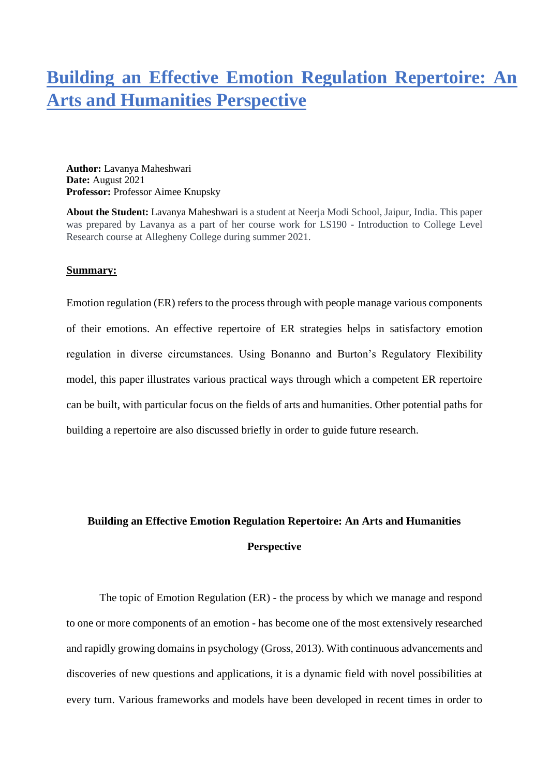## **Building an Effective Emotion Regulation Repertoire: An Arts and Humanities Perspective**

**Author:** Lavanya Maheshwari **Date:** August 2021 **Professor:** Professor Aimee Knupsky

**About the Student:** Lavanya Maheshwari is a student at Neerja Modi School, Jaipur, India. This paper was prepared by Lavanya as a part of her course work for LS190 - Introduction to College Level Research course at Allegheny College during summer 2021.

## **Summary:**

Emotion regulation (ER) refers to the process through with people manage various components of their emotions. An effective repertoire of ER strategies helps in satisfactory emotion regulation in diverse circumstances. Using Bonanno and Burton's Regulatory Flexibility model, this paper illustrates various practical ways through which a competent ER repertoire can be built, with particular focus on the fields of arts and humanities. Other potential paths for building a repertoire are also discussed briefly in order to guide future research.

## **Building an Effective Emotion Regulation Repertoire: An Arts and Humanities Perspective**

The topic of Emotion Regulation (ER) - the process by which we manage and respond to one or more components of an emotion - has become one of the most extensively researched and rapidly growing domains in psychology (Gross, 2013). With continuous advancements and discoveries of new questions and applications, it is a dynamic field with novel possibilities at every turn. Various frameworks and models have been developed in recent times in order to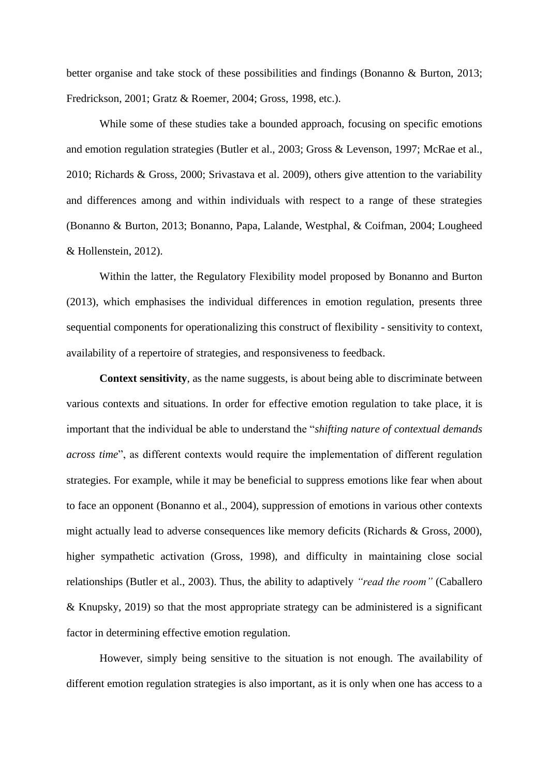better organise and take stock of these possibilities and findings (Bonanno & Burton, 2013; Fredrickson, 2001; Gratz & Roemer, 2004; Gross, 1998, etc.).

While some of these studies take a bounded approach, focusing on specific emotions and emotion regulation strategies (Butler et al., 2003; Gross & Levenson, 1997; McRae et al., 2010; Richards & Gross, 2000; Srivastava et al. 2009), others give attention to the variability and differences among and within individuals with respect to a range of these strategies (Bonanno & Burton, 2013; Bonanno, Papa, Lalande, Westphal, & Coifman, 2004; Lougheed & Hollenstein, 2012).

Within the latter, the Regulatory Flexibility model proposed by Bonanno and Burton (2013), which emphasises the individual differences in emotion regulation, presents three sequential components for operationalizing this construct of flexibility - sensitivity to context, availability of a repertoire of strategies, and responsiveness to feedback.

**Context sensitivity**, as the name suggests, is about being able to discriminate between various contexts and situations. In order for effective emotion regulation to take place, it is important that the individual be able to understand the "*shifting nature of contextual demands across time*", as different contexts would require the implementation of different regulation strategies. For example, while it may be beneficial to suppress emotions like fear when about to face an opponent (Bonanno et al., 2004), suppression of emotions in various other contexts might actually lead to adverse consequences like memory deficits (Richards & Gross, 2000), higher sympathetic activation (Gross, 1998), and difficulty in maintaining close social relationships (Butler et al., 2003). Thus, the ability to adaptively *"read the room"* (Caballero & Knupsky, 2019) so that the most appropriate strategy can be administered is a significant factor in determining effective emotion regulation.

However, simply being sensitive to the situation is not enough. The availability of different emotion regulation strategies is also important, as it is only when one has access to a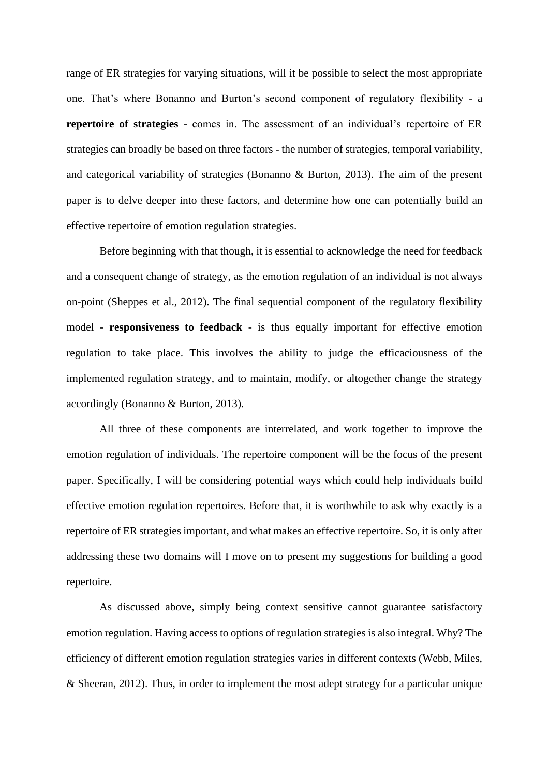range of ER strategies for varying situations, will it be possible to select the most appropriate one. That's where Bonanno and Burton's second component of regulatory flexibility - a **repertoire of strategies** - comes in. The assessment of an individual's repertoire of ER strategies can broadly be based on three factors - the number of strategies, temporal variability, and categorical variability of strategies (Bonanno & Burton, 2013). The aim of the present paper is to delve deeper into these factors, and determine how one can potentially build an effective repertoire of emotion regulation strategies.

Before beginning with that though, it is essential to acknowledge the need for feedback and a consequent change of strategy, as the emotion regulation of an individual is not always on-point (Sheppes et al., 2012). The final sequential component of the regulatory flexibility model - **responsiveness to feedback** - is thus equally important for effective emotion regulation to take place. This involves the ability to judge the efficaciousness of the implemented regulation strategy, and to maintain, modify, or altogether change the strategy accordingly (Bonanno & Burton, 2013).

All three of these components are interrelated, and work together to improve the emotion regulation of individuals. The repertoire component will be the focus of the present paper. Specifically, I will be considering potential ways which could help individuals build effective emotion regulation repertoires. Before that, it is worthwhile to ask why exactly is a repertoire of ER strategies important, and what makes an effective repertoire. So, it is only after addressing these two domains will I move on to present my suggestions for building a good repertoire.

As discussed above, simply being context sensitive cannot guarantee satisfactory emotion regulation. Having access to options of regulation strategies is also integral. Why? The efficiency of different emotion regulation strategies varies in different contexts (Webb, Miles, & Sheeran, 2012). Thus, in order to implement the most adept strategy for a particular unique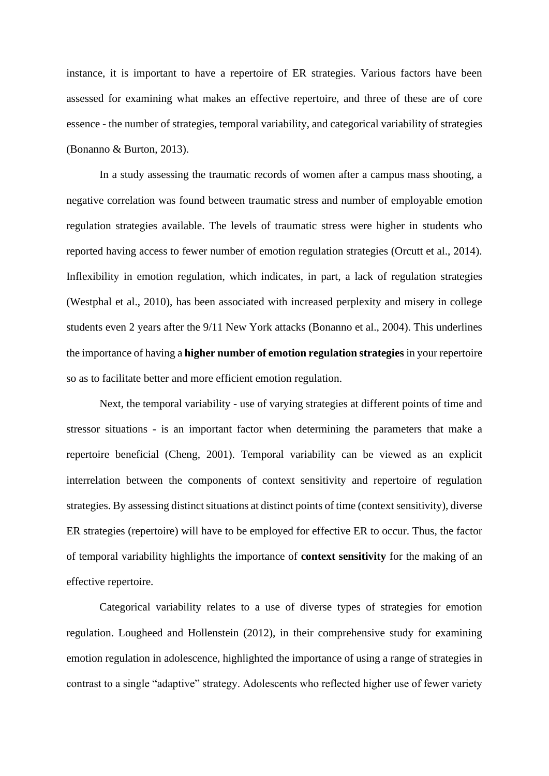instance, it is important to have a repertoire of ER strategies. Various factors have been assessed for examining what makes an effective repertoire, and three of these are of core essence - the number of strategies, temporal variability, and categorical variability of strategies (Bonanno & Burton, 2013).

In a study assessing the traumatic records of women after a campus mass shooting, a negative correlation was found between traumatic stress and number of employable emotion regulation strategies available. The levels of traumatic stress were higher in students who reported having access to fewer number of emotion regulation strategies (Orcutt et al., 2014). Inflexibility in emotion regulation, which indicates, in part, a lack of regulation strategies (Westphal et al., 2010), has been associated with increased perplexity and misery in college students even 2 years after the 9/11 New York attacks (Bonanno et al., 2004). This underlines the importance of having a **higher number of emotion regulation strategies** in your repertoire so as to facilitate better and more efficient emotion regulation.

Next, the temporal variability - use of varying strategies at different points of time and stressor situations - is an important factor when determining the parameters that make a repertoire beneficial (Cheng, 2001). Temporal variability can be viewed as an explicit interrelation between the components of context sensitivity and repertoire of regulation strategies. By assessing distinct situations at distinct points of time (context sensitivity), diverse ER strategies (repertoire) will have to be employed for effective ER to occur. Thus, the factor of temporal variability highlights the importance of **context sensitivity** for the making of an effective repertoire.

Categorical variability relates to a use of diverse types of strategies for emotion regulation. Lougheed and Hollenstein (2012), in their comprehensive study for examining emotion regulation in adolescence, highlighted the importance of using a range of strategies in contrast to a single "adaptive" strategy. Adolescents who reflected higher use of fewer variety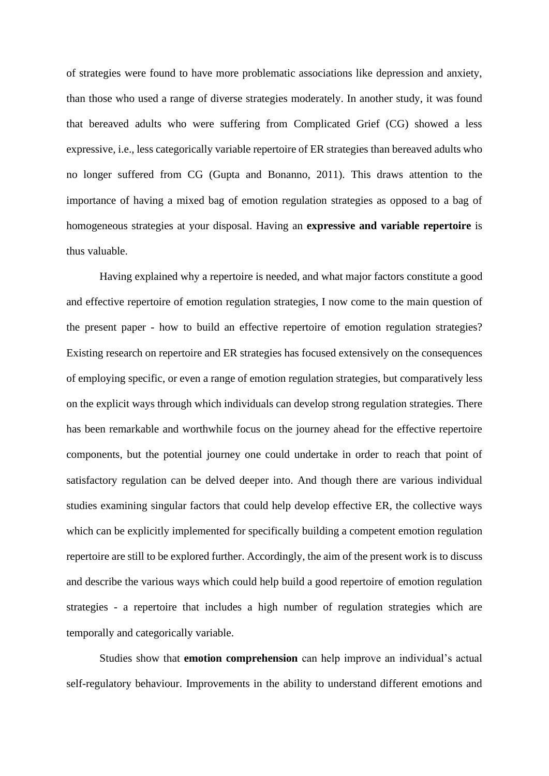of strategies were found to have more problematic associations like depression and anxiety, than those who used a range of diverse strategies moderately. In another study, it was found that bereaved adults who were suffering from Complicated Grief (CG) showed a less expressive, i.e., less categorically variable repertoire of ER strategies than bereaved adults who no longer suffered from CG (Gupta and Bonanno, 2011). This draws attention to the importance of having a mixed bag of emotion regulation strategies as opposed to a bag of homogeneous strategies at your disposal. Having an **expressive and variable repertoire** is thus valuable.

Having explained why a repertoire is needed, and what major factors constitute a good and effective repertoire of emotion regulation strategies, I now come to the main question of the present paper - how to build an effective repertoire of emotion regulation strategies? Existing research on repertoire and ER strategies has focused extensively on the consequences of employing specific, or even a range of emotion regulation strategies, but comparatively less on the explicit ways through which individuals can develop strong regulation strategies. There has been remarkable and worthwhile focus on the journey ahead for the effective repertoire components, but the potential journey one could undertake in order to reach that point of satisfactory regulation can be delved deeper into. And though there are various individual studies examining singular factors that could help develop effective ER, the collective ways which can be explicitly implemented for specifically building a competent emotion regulation repertoire are still to be explored further. Accordingly, the aim of the present work is to discuss and describe the various ways which could help build a good repertoire of emotion regulation strategies - a repertoire that includes a high number of regulation strategies which are temporally and categorically variable.

Studies show that **emotion comprehension** can help improve an individual's actual self-regulatory behaviour. Improvements in the ability to understand different emotions and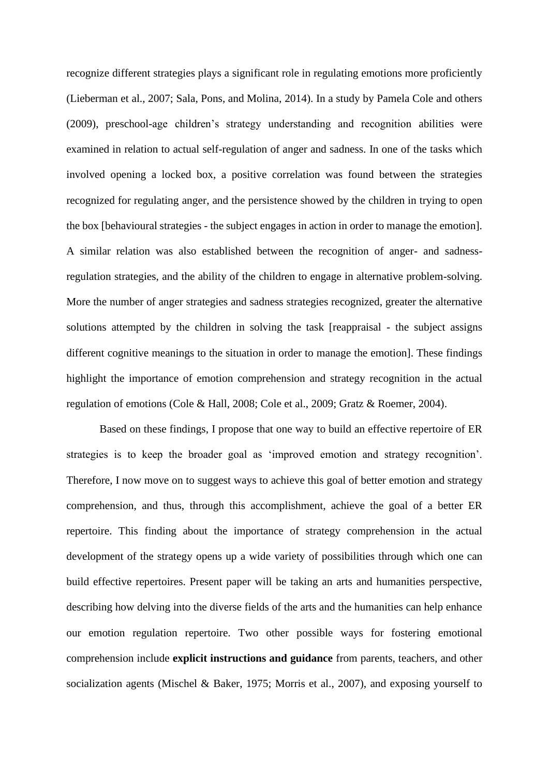recognize different strategies plays a significant role in regulating emotions more proficiently (Lieberman et al., 2007; Sala, Pons, and Molina, 2014). In a study by Pamela Cole and others (2009), preschool-age children's strategy understanding and recognition abilities were examined in relation to actual self-regulation of anger and sadness. In one of the tasks which involved opening a locked box, a positive correlation was found between the strategies recognized for regulating anger, and the persistence showed by the children in trying to open the box [behavioural strategies - the subject engages in action in order to manage the emotion]. A similar relation was also established between the recognition of anger- and sadnessregulation strategies, and the ability of the children to engage in alternative problem-solving. More the number of anger strategies and sadness strategies recognized, greater the alternative solutions attempted by the children in solving the task [reappraisal - the subject assigns different cognitive meanings to the situation in order to manage the emotion]. These findings highlight the importance of emotion comprehension and strategy recognition in the actual regulation of emotions (Cole & Hall, 2008; Cole et al., 2009; Gratz & Roemer, 2004).

Based on these findings, I propose that one way to build an effective repertoire of ER strategies is to keep the broader goal as 'improved emotion and strategy recognition'. Therefore, I now move on to suggest ways to achieve this goal of better emotion and strategy comprehension, and thus, through this accomplishment, achieve the goal of a better ER repertoire. This finding about the importance of strategy comprehension in the actual development of the strategy opens up a wide variety of possibilities through which one can build effective repertoires. Present paper will be taking an arts and humanities perspective, describing how delving into the diverse fields of the arts and the humanities can help enhance our emotion regulation repertoire. Two other possible ways for fostering emotional comprehension include **explicit instructions and guidance** from parents, teachers, and other socialization agents (Mischel & Baker, 1975; Morris et al., 2007), and exposing yourself to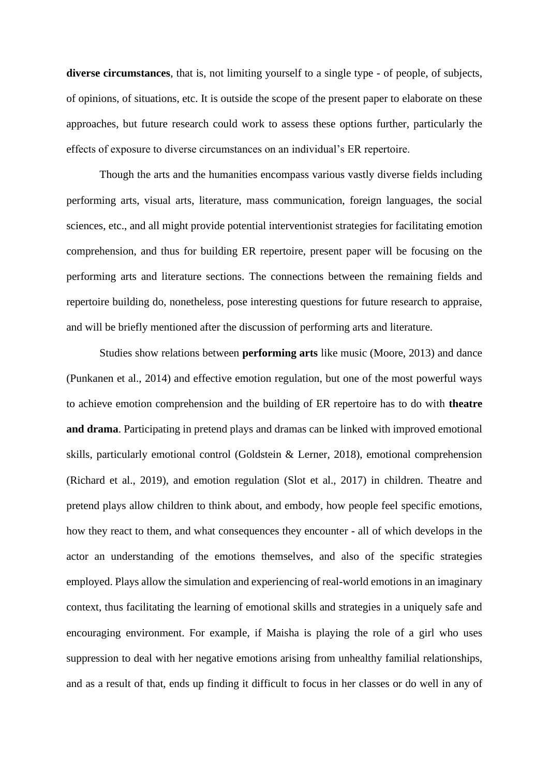**diverse circumstances**, that is, not limiting yourself to a single type - of people, of subjects, of opinions, of situations, etc. It is outside the scope of the present paper to elaborate on these approaches, but future research could work to assess these options further, particularly the effects of exposure to diverse circumstances on an individual's ER repertoire.

Though the arts and the humanities encompass various vastly diverse fields including performing arts, visual arts, literature, mass communication, foreign languages, the social sciences, etc., and all might provide potential interventionist strategies for facilitating emotion comprehension, and thus for building ER repertoire, present paper will be focusing on the performing arts and literature sections. The connections between the remaining fields and repertoire building do, nonetheless, pose interesting questions for future research to appraise, and will be briefly mentioned after the discussion of performing arts and literature.

Studies show relations between **performing arts** like music (Moore, 2013) and dance (Punkanen et al., 2014) and effective emotion regulation, but one of the most powerful ways to achieve emotion comprehension and the building of ER repertoire has to do with **theatre and drama**. Participating in pretend plays and dramas can be linked with improved emotional skills, particularly emotional control (Goldstein & Lerner, 2018), emotional comprehension (Richard et al., 2019), and emotion regulation (Slot et al., 2017) in children. Theatre and pretend plays allow children to think about, and embody, how people feel specific emotions, how they react to them, and what consequences they encounter - all of which develops in the actor an understanding of the emotions themselves, and also of the specific strategies employed. Plays allow the simulation and experiencing of real-world emotions in an imaginary context, thus facilitating the learning of emotional skills and strategies in a uniquely safe and encouraging environment. For example, if Maisha is playing the role of a girl who uses suppression to deal with her negative emotions arising from unhealthy familial relationships, and as a result of that, ends up finding it difficult to focus in her classes or do well in any of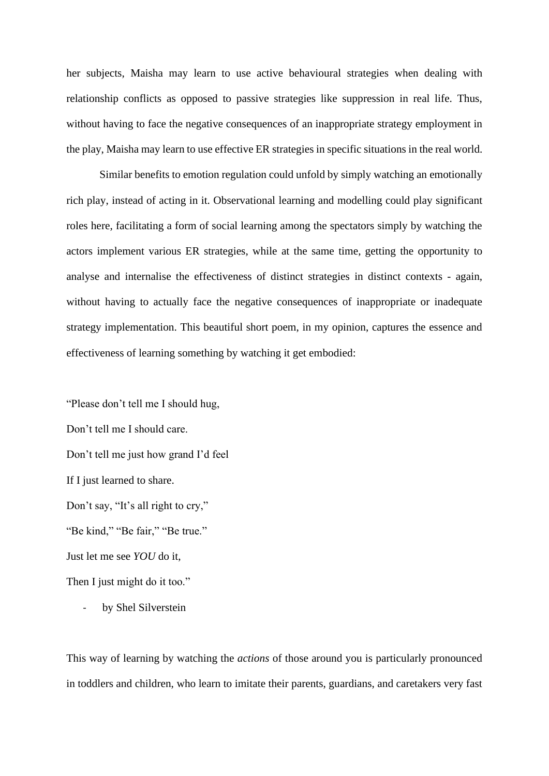her subjects, Maisha may learn to use active behavioural strategies when dealing with relationship conflicts as opposed to passive strategies like suppression in real life. Thus, without having to face the negative consequences of an inappropriate strategy employment in the play, Maisha may learn to use effective ER strategies in specific situations in the real world.

Similar benefits to emotion regulation could unfold by simply watching an emotionally rich play, instead of acting in it. Observational learning and modelling could play significant roles here, facilitating a form of social learning among the spectators simply by watching the actors implement various ER strategies, while at the same time, getting the opportunity to analyse and internalise the effectiveness of distinct strategies in distinct contexts - again, without having to actually face the negative consequences of inappropriate or inadequate strategy implementation. This beautiful short poem, in my opinion, captures the essence and effectiveness of learning something by watching it get embodied:

"Please don't tell me I should hug, Don't tell me I should care. Don't tell me just how grand I'd feel If I just learned to share. Don't say, "It's all right to cry," "Be kind," "Be fair," "Be true." Just let me see *YOU* do it, Then I just might do it too."

by Shel Silverstein

This way of learning by watching the *actions* of those around you is particularly pronounced in toddlers and children, who learn to imitate their parents, guardians, and caretakers very fast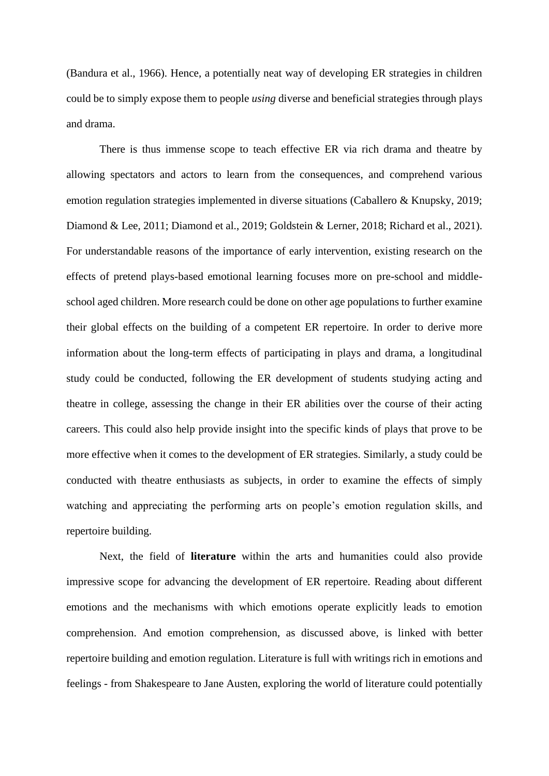(Bandura et al., 1966). Hence, a potentially neat way of developing ER strategies in children could be to simply expose them to people *using* diverse and beneficial strategies through plays and drama.

There is thus immense scope to teach effective ER via rich drama and theatre by allowing spectators and actors to learn from the consequences, and comprehend various emotion regulation strategies implemented in diverse situations (Caballero & Knupsky, 2019; Diamond & Lee, 2011; Diamond et al., 2019; Goldstein & Lerner, 2018; Richard et al., 2021). For understandable reasons of the importance of early intervention, existing research on the effects of pretend plays-based emotional learning focuses more on pre-school and middleschool aged children. More research could be done on other age populations to further examine their global effects on the building of a competent ER repertoire. In order to derive more information about the long-term effects of participating in plays and drama, a longitudinal study could be conducted, following the ER development of students studying acting and theatre in college, assessing the change in their ER abilities over the course of their acting careers. This could also help provide insight into the specific kinds of plays that prove to be more effective when it comes to the development of ER strategies. Similarly, a study could be conducted with theatre enthusiasts as subjects, in order to examine the effects of simply watching and appreciating the performing arts on people's emotion regulation skills, and repertoire building.

Next, the field of **literature** within the arts and humanities could also provide impressive scope for advancing the development of ER repertoire. Reading about different emotions and the mechanisms with which emotions operate explicitly leads to emotion comprehension. And emotion comprehension, as discussed above, is linked with better repertoire building and emotion regulation. Literature is full with writings rich in emotions and feelings - from Shakespeare to Jane Austen, exploring the world of literature could potentially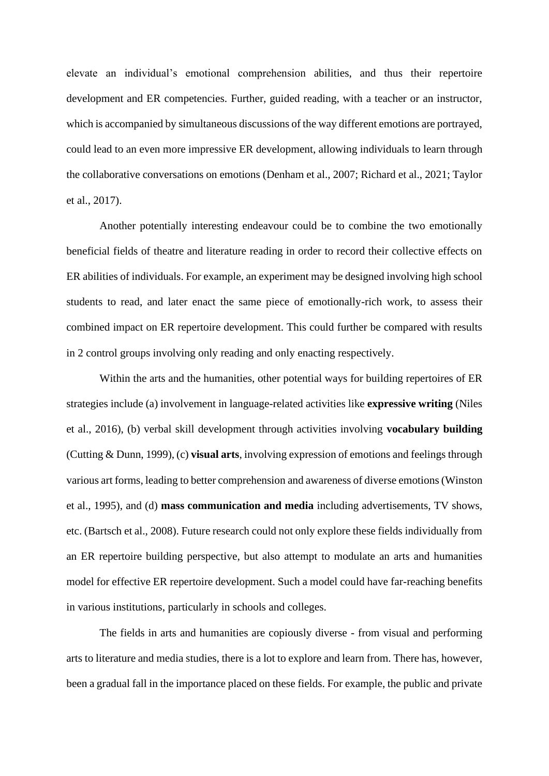elevate an individual's emotional comprehension abilities, and thus their repertoire development and ER competencies. Further, guided reading, with a teacher or an instructor, which is accompanied by simultaneous discussions of the way different emotions are portrayed, could lead to an even more impressive ER development, allowing individuals to learn through the collaborative conversations on emotions (Denham et al., 2007; Richard et al., 2021; Taylor et al., 2017).

Another potentially interesting endeavour could be to combine the two emotionally beneficial fields of theatre and literature reading in order to record their collective effects on ER abilities of individuals. For example, an experiment may be designed involving high school students to read, and later enact the same piece of emotionally-rich work, to assess their combined impact on ER repertoire development. This could further be compared with results in 2 control groups involving only reading and only enacting respectively.

Within the arts and the humanities, other potential ways for building repertoires of ER strategies include (a) involvement in language-related activities like **expressive writing** (Niles et al., 2016), (b) verbal skill development through activities involving **vocabulary building**  (Cutting & Dunn, 1999), (c) **visual arts**, involving expression of emotions and feelings through various art forms, leading to better comprehension and awareness of diverse emotions (Winston et al., 1995), and (d) **mass communication and media** including advertisements, TV shows, etc. (Bartsch et al., 2008). Future research could not only explore these fields individually from an ER repertoire building perspective, but also attempt to modulate an arts and humanities model for effective ER repertoire development. Such a model could have far-reaching benefits in various institutions, particularly in schools and colleges.

The fields in arts and humanities are copiously diverse - from visual and performing arts to literature and media studies, there is a lot to explore and learn from. There has, however, been a gradual fall in the importance placed on these fields. For example, the public and private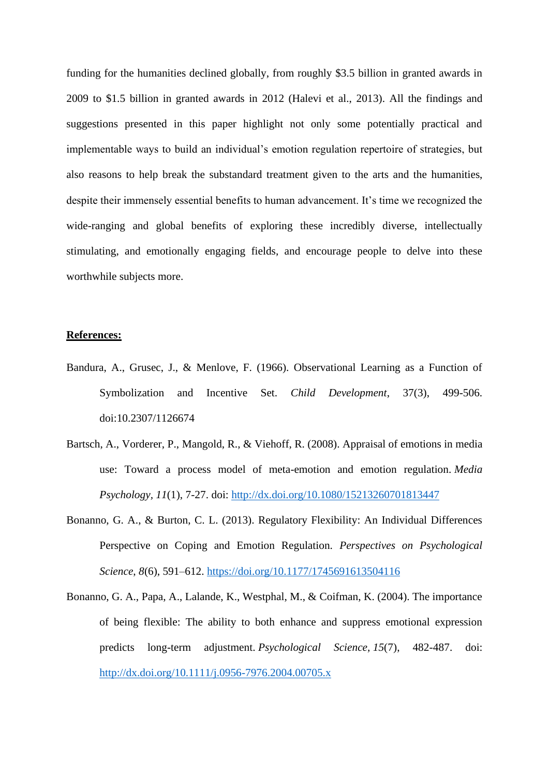funding for the humanities declined globally, from roughly \$3.5 billion in granted awards in 2009 to \$1.5 billion in granted awards in 2012 (Halevi et al., 2013). All the findings and suggestions presented in this paper highlight not only some potentially practical and implementable ways to build an individual's emotion regulation repertoire of strategies, but also reasons to help break the substandard treatment given to the arts and the humanities, despite their immensely essential benefits to human advancement. It's time we recognized the wide-ranging and global benefits of exploring these incredibly diverse, intellectually stimulating, and emotionally engaging fields, and encourage people to delve into these worthwhile subjects more.

## **References:**

- Bandura, A., Grusec, J., & Menlove, F. (1966). Observational Learning as a Function of Symbolization and Incentive Set. *Child Development*, 37(3), 499-506. doi:10.2307/1126674
- Bartsch, A., Vorderer, P., Mangold, R., & Viehoff, R. (2008). Appraisal of emotions in media use: Toward a process model of meta-emotion and emotion regulation. *Media Psychology, 11*(1), 7-27. doi:<http://dx.doi.org/10.1080/15213260701813447>
- Bonanno, G. A., & Burton, C. L. (2013). Regulatory Flexibility: An Individual Differences Perspective on Coping and Emotion Regulation. *Perspectives on Psychological Science*, *8*(6), 591–612.<https://doi.org/10.1177/1745691613504116>
- Bonanno, G. A., Papa, A., Lalande, K., Westphal, M., & Coifman, K. (2004). The importance of being flexible: The ability to both enhance and suppress emotional expression predicts long-term adjustment. *Psychological Science, 15*(7), 482-487. doi: <http://dx.doi.org/10.1111/j.0956-7976.2004.00705.x>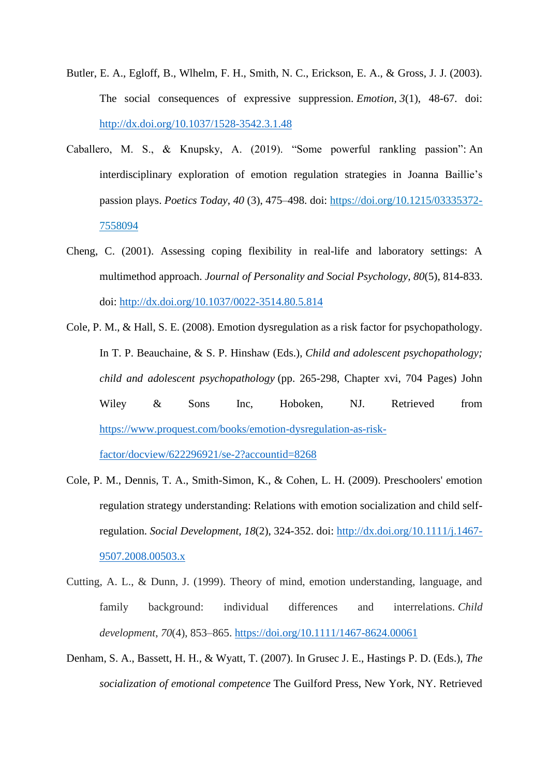- Butler, E. A., Egloff, B., Wlhelm, F. H., Smith, N. C., Erickson, E. A., & Gross, J. J. (2003). The social consequences of expressive suppression. *Emotion, 3*(1), 48-67. doi: <http://dx.doi.org/10.1037/1528-3542.3.1.48>
- Caballero, M. S., & Knupsky, A. (2019). "Some powerful rankling passion": An interdisciplinary exploration of emotion regulation strategies in Joanna Baillie's passion plays. *Poetics Today*, *40* (3), 475–498. doi: [https://doi.org/10.1215/03335372-](https://doi.org/10.1215/03335372-7558094) [7558094](https://doi.org/10.1215/03335372-7558094)
- Cheng, C. (2001). Assessing coping flexibility in real-life and laboratory settings: A multimethod approach. *Journal of Personality and Social Psychology, 80*(5), 814-833. doi: <http://dx.doi.org/10.1037/0022-3514.80.5.814>
- Cole, P. M., & Hall, S. E. (2008). Emotion dysregulation as a risk factor for psychopathology. In T. P. Beauchaine, & S. P. Hinshaw (Eds.), *Child and adolescent psychopathology; child and adolescent psychopathology* (pp. 265-298, Chapter xvi, 704 Pages) John Wiley & Sons Inc, Hoboken, NJ. Retrieved from [https://www.proquest.com/books/emotion-dysregulation-as-risk-](https://www.proquest.com/books/emotion-dysregulation-as-risk-factor/docview/622296921/se-2?accountid=8268)

[factor/docview/622296921/se-2?accountid=8268](https://www.proquest.com/books/emotion-dysregulation-as-risk-factor/docview/622296921/se-2?accountid=8268) 

- Cole, P. M., Dennis, T. A., Smith-Simon, K., & Cohen, L. H. (2009). Preschoolers' emotion regulation strategy understanding: Relations with emotion socialization and child selfregulation. *Social Development, 18*(2), 324-352. doi: [http://dx.doi.org/10.1111/j.1467-](http://dx.doi.org/10.1111/j.1467-9507.2008.00503.x) [9507.2008.00503.x](http://dx.doi.org/10.1111/j.1467-9507.2008.00503.x)
- Cutting, A. L., & Dunn, J. (1999). Theory of mind, emotion understanding, language, and family background: individual differences and interrelations. *Child development*, *70*(4), 853–865.<https://doi.org/10.1111/1467-8624.00061>
- Denham, S. A., Bassett, H. H., & Wyatt, T. (2007). In Grusec J. E., Hastings P. D. (Eds.), *The socialization of emotional competence* The Guilford Press, New York, NY. Retrieved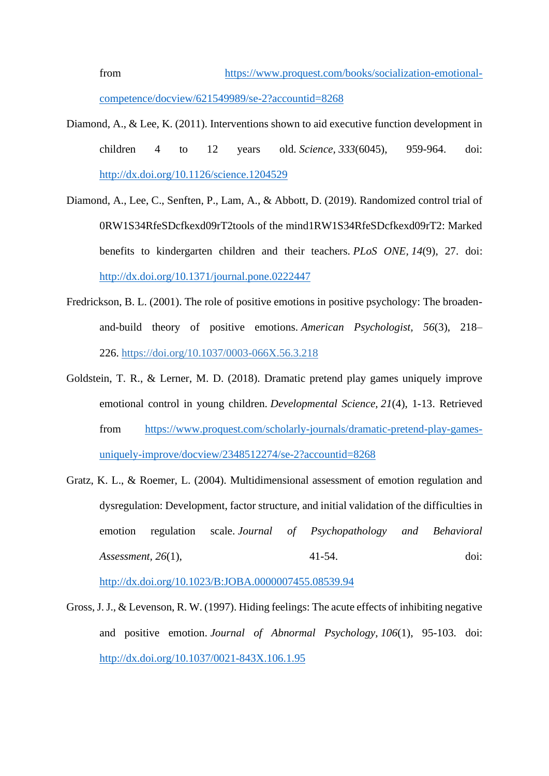from [https://www.proquest.com/books/socialization-emotional](https://www.proquest.com/books/socialization-emotional-competence/docview/621549989/se-2?accountid=8268)[competence/docview/621549989/se-2?accountid=8268](https://www.proquest.com/books/socialization-emotional-competence/docview/621549989/se-2?accountid=8268)

- Diamond, A., & Lee, K. (2011). Interventions shown to aid executive function development in children 4 to 12 years old. *Science, 333*(6045), 959-964. doi: <http://dx.doi.org/10.1126/science.1204529>
- Diamond, A., Lee, C., Senften, P., Lam, A., & Abbott, D. (2019). Randomized control trial of 0RW1S34RfeSDcfkexd09rT2tools of the mind1RW1S34RfeSDcfkexd09rT2: Marked benefits to kindergarten children and their teachers. *PLoS ONE, 14*(9), 27. doi: <http://dx.doi.org/10.1371/journal.pone.0222447>
- Fredrickson, B. L. (2001). The role of positive emotions in positive psychology: The broadenand-build theory of positive emotions. *American Psychologist, 56*(3), 218– 226. [https://doi.org/10.1037/0003-066X.56.3.218](https://psycnet.apa.org/doi/10.1037/0003-066X.56.3.218)
- Goldstein, T. R., & Lerner, M. D. (2018). Dramatic pretend play games uniquely improve emotional control in young children. *Developmental Science, 21*(4), 1-13. Retrieved from [https://www.proquest.com/scholarly-journals/dramatic-pretend-play-games](https://www.proquest.com/scholarly-journals/dramatic-pretend-play-games-uniquely-improve/docview/2348512274/se-2?accountid=8268)[uniquely-improve/docview/2348512274/se-2?accountid=8268](https://www.proquest.com/scholarly-journals/dramatic-pretend-play-games-uniquely-improve/docview/2348512274/se-2?accountid=8268)
- Gratz, K. L., & Roemer, L. (2004). Multidimensional assessment of emotion regulation and dysregulation: Development, factor structure, and initial validation of the difficulties in emotion regulation scale. *Journal of Psychopathology and Behavioral Assessment, 26*(1), 41-54. doi:

<http://dx.doi.org/10.1023/B:JOBA.0000007455.08539.94>

Gross, J. J., & Levenson, R. W. (1997). Hiding feelings: The acute effects of inhibiting negative and positive emotion. *Journal of Abnormal Psychology, 106*(1), 95-103. doi: <http://dx.doi.org/10.1037/0021-843X.106.1.95>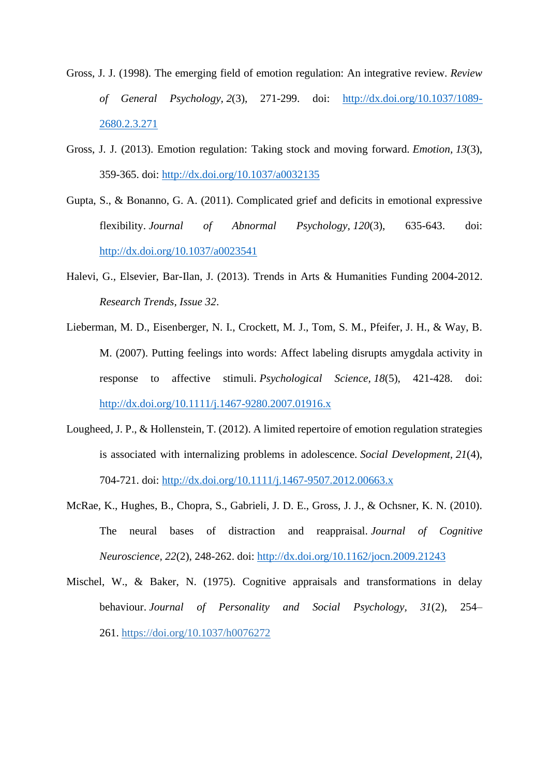- Gross, J. J. (1998). The emerging field of emotion regulation: An integrative review. *Review of General Psychology, 2*(3), 271-299. doi: [http://dx.doi.org/10.1037/1089-](http://dx.doi.org/10.1037/1089-2680.2.3.271) [2680.2.3.271](http://dx.doi.org/10.1037/1089-2680.2.3.271)
- Gross, J. J. (2013). Emotion regulation: Taking stock and moving forward. *Emotion, 13*(3), 359-365. doi:<http://dx.doi.org/10.1037/a0032135>
- Gupta, S., & Bonanno, G. A. (2011). Complicated grief and deficits in emotional expressive flexibility. *Journal of Abnormal Psychology, 120*(3), 635-643. doi: <http://dx.doi.org/10.1037/a0023541>
- Halevi, G., Elsevier, Bar-Ilan, J. (2013). Trends in Arts & Humanities Funding 2004-2012. *Research Trends, Issue 32*.
- Lieberman, M. D., Eisenberger, N. I., Crockett, M. J., Tom, S. M., Pfeifer, J. H., & Way, B. M. (2007). Putting feelings into words: Affect labeling disrupts amygdala activity in response to affective stimuli. *Psychological Science, 18*(5), 421-428. doi: <http://dx.doi.org/10.1111/j.1467-9280.2007.01916.x>
- Lougheed, J. P., & Hollenstein, T. (2012). A limited repertoire of emotion regulation strategies is associated with internalizing problems in adolescence. *Social Development, 21*(4), 704-721. doi:<http://dx.doi.org/10.1111/j.1467-9507.2012.00663.x>
- McRae, K., Hughes, B., Chopra, S., Gabrieli, J. D. E., Gross, J. J., & Ochsner, K. N. (2010). The neural bases of distraction and reappraisal. *Journal of Cognitive Neuroscience, 22*(2), 248-262. doi:<http://dx.doi.org/10.1162/jocn.2009.21243>
- Mischel, W., & Baker, N. (1975). Cognitive appraisals and transformations in delay behaviour. *Journal of Personality and Social Psychology, 31*(2), 254– 261. [https://doi.org/10.1037/h0076272](https://psycnet.apa.org/doi/10.1037/h0076272)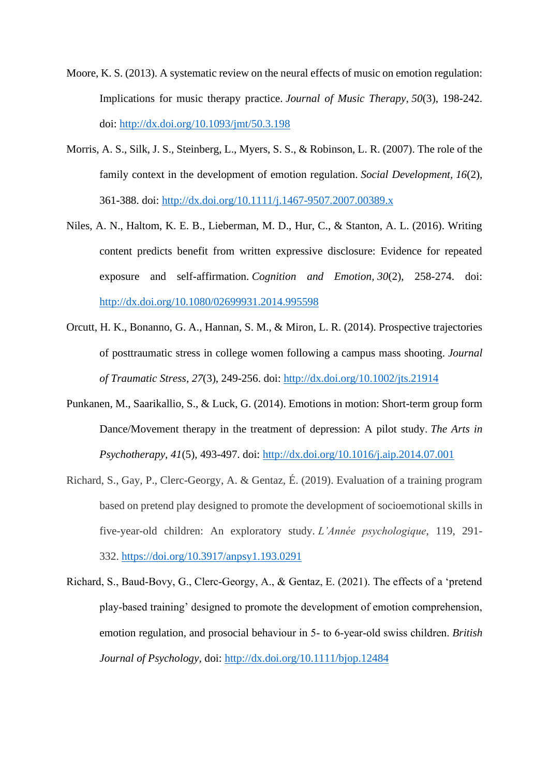- Moore, K. S. (2013). A systematic review on the neural effects of music on emotion regulation: Implications for music therapy practice. *Journal of Music Therapy, 50*(3), 198-242. doi:<http://dx.doi.org/10.1093/jmt/50.3.198>
- Morris, A. S., Silk, J. S., Steinberg, L., Myers, S. S., & Robinson, L. R. (2007). The role of the family context in the development of emotion regulation. *Social Development, 16*(2), 361-388. doi:<http://dx.doi.org/10.1111/j.1467-9507.2007.00389.x>
- Niles, A. N., Haltom, K. E. B., Lieberman, M. D., Hur, C., & Stanton, A. L. (2016). Writing content predicts benefit from written expressive disclosure: Evidence for repeated exposure and self-affirmation. *Cognition and Emotion, 30*(2), 258-274. doi: <http://dx.doi.org/10.1080/02699931.2014.995598>
- Orcutt, H. K., Bonanno, G. A., Hannan, S. M., & Miron, L. R. (2014). Prospective trajectories of posttraumatic stress in college women following a campus mass shooting. *Journal of Traumatic Stress, 27*(3), 249-256. doi:<http://dx.doi.org/10.1002/jts.21914>
- Punkanen, M., Saarikallio, S., & Luck, G. (2014). Emotions in motion: Short-term group form Dance/Movement therapy in the treatment of depression: A pilot study. *The Arts in Psychotherapy, 41*(5), 493-497. doi:<http://dx.doi.org/10.1016/j.aip.2014.07.001>
- Richard, S., Gay, P., Clerc-Georgy, A. & Gentaz, É. (2019). Evaluation of a training program based on pretend play designed to promote the development of socioemotional skills in five-year-old children: An exploratory study. *L'Année psychologique*, 119, 291- 332. <https://doi.org/10.3917/anpsy1.193.0291>
- Richard, S., Baud‐Bovy, G., Clerc‐Georgy, A., & Gentaz, E. (2021). The effects of a 'pretend play‐based training' designed to promote the development of emotion comprehension, emotion regulation, and prosocial behaviour in 5‐ to 6‐year‐old swiss children. *British Journal of Psychology,* doi:<http://dx.doi.org/10.1111/bjop.12484>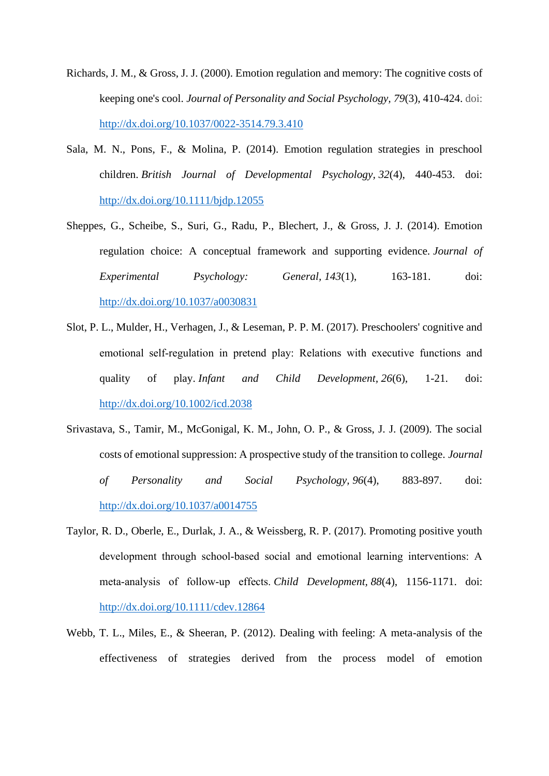- Richards, J. M., & Gross, J. J. (2000). Emotion regulation and memory: The cognitive costs of keeping one's cool. *Journal of Personality and Social Psychology, 79*(3), 410-424. doi: <http://dx.doi.org/10.1037/0022-3514.79.3.410>
- Sala, M. N., Pons, F., & Molina, P. (2014). Emotion regulation strategies in preschool children. *British Journal of Developmental Psychology, 32*(4), 440-453. doi: <http://dx.doi.org/10.1111/bjdp.12055>
- Sheppes, G., Scheibe, S., Suri, G., Radu, P., Blechert, J., & Gross, J. J. (2014). Emotion regulation choice: A conceptual framework and supporting evidence. *Journal of Experimental Psychology: General, 143*(1), 163-181. doi: <http://dx.doi.org/10.1037/a0030831>
- Slot, P. L., Mulder, H., Verhagen, J., & Leseman, P. P. M. (2017). Preschoolers' cognitive and emotional self‐regulation in pretend play: Relations with executive functions and quality of play. *Infant and Child Development, 26*(6), 1-21. doi: <http://dx.doi.org/10.1002/icd.2038>
- Srivastava, S., Tamir, M., McGonigal, K. M., John, O. P., & Gross, J. J. (2009). The social costs of emotional suppression: A prospective study of the transition to college. *Journal of Personality and Social Psychology, 96*(4), 883-897. doi: <http://dx.doi.org/10.1037/a0014755>
- Taylor, R. D., Oberle, E., Durlak, J. A., & Weissberg, R. P. (2017). Promoting positive youth development through school-based social and emotional learning interventions: A meta‐analysis of follow‐up effects. *Child Development, 88*(4), 1156-1171. doi: <http://dx.doi.org/10.1111/cdev.12864>
- Webb, T. L., Miles, E., & Sheeran, P. (2012). Dealing with feeling: A meta-analysis of the effectiveness of strategies derived from the process model of emotion